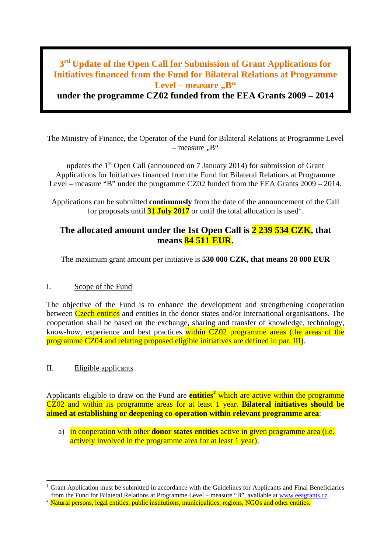## **3rd Update of the Open Call for Submission of Grant Applications for Initiatives financed from the Fund for Bilateral Relations at Programme**  Level – measure ..B"

**under the programme CZ02 funded from the EEA Grants 2009 – 2014**

The Ministry of Finance, the Operator of the Fund for Bilateral Relations at Programme Level  $-$  measure  $\mathbb{R}^4$ 

updates the  $1<sup>st</sup>$  Open Call (announced on 7 January 2014) for submission of Grant Applications for Initiatives financed from the Fund for Bilateral Relations at Programme Level – measure "B" under the programme CZ02 funded from the EEA Grants 2009 – 2014.

Applications can be submitted **continuously** from the date of the announcement of the Call for proposals until **31 July 2017** or until the total allocation is used<sup>1</sup>.

## **The allocated amount under the 1st Open Call is 2 239 534 CZK, that means 84 511 EUR.**

The maximum grant amount per initiative is **530 000 CZK, that means 20 000 EUR**

### I. Scope of the Fund

The objective of the Fund is to enhance the development and strengthening cooperation between Czech entities and entities in the donor states and/or international organisations. The cooperation shall be based on the exchange, sharing and transfer of knowledge, technology, know-how, experience and best practices within CZ02 programme areas (the areas of the programme CZ04 and relating proposed eligible initiatives are defined in par. III).

### II. Eligible applicants

Applicants eligible to draw on the Fund are **entities<sup>2</sup>** which are active within the programme CZ02 and within its programme areas for at least 1 year. **Bilateral initiatives should be aimed at establishing or deepening co-operation within relevant programme area**:

a) in cooperation with other **donor states entities** active in given programme area (i.e. actively involved in the programme area for at least 1 year);

Grant Application must be submitted in accordance with the Guidelines for Applicants and Final Beneficiaries from the Fund for Bilateral Relations at Programme Level – measure "B", available at www.eeagrants.cz.

<sup>&</sup>lt;sup>2</sup> Natural persons. legal entities, public institutions, municipalities, regions, NGOs and other entities.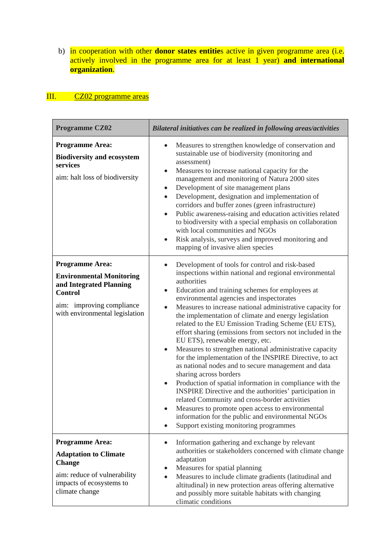b) in cooperation with other **donor states entitie**s active in given programme area (i.e. actively involved in the programme area for at least 1 year) **and international organization**.

# III. CZ02 programme areas

| <b>Programme CZ02</b>                                                                                                                                                 | Bilateral initiatives can be realized in following areas/activities                                                                                                                                                                                                                                                                                                                                                                                                                                                                                                                                                                                                                                                                                                                                                                                                                                                                                                                                                                                              |
|-----------------------------------------------------------------------------------------------------------------------------------------------------------------------|------------------------------------------------------------------------------------------------------------------------------------------------------------------------------------------------------------------------------------------------------------------------------------------------------------------------------------------------------------------------------------------------------------------------------------------------------------------------------------------------------------------------------------------------------------------------------------------------------------------------------------------------------------------------------------------------------------------------------------------------------------------------------------------------------------------------------------------------------------------------------------------------------------------------------------------------------------------------------------------------------------------------------------------------------------------|
| <b>Programme Area:</b><br><b>Biodiversity and ecosystem</b><br>services<br>aim: halt loss of biodiversity                                                             | Measures to strengthen knowledge of conservation and<br>sustainable use of biodiversity (monitoring and<br>assessment)<br>Measures to increase national capacity for the<br>management and monitoring of Natura 2000 sites<br>Development of site management plans<br>Development, designation and implementation of<br>$\bullet$<br>corridors and buffer zones (green infrastructure)<br>Public awareness-raising and education activities related<br>$\bullet$<br>to biodiversity with a special emphasis on collaboration<br>with local communities and NGOs<br>Risk analysis, surveys and improved monitoring and<br>mapping of invasive alien species                                                                                                                                                                                                                                                                                                                                                                                                       |
| <b>Programme Area:</b><br><b>Environmental Monitoring</b><br>and Integrated Planning<br><b>Control</b><br>aim: improving compliance<br>with environmental legislation | Development of tools for control and risk-based<br>inspections within national and regional environmental<br>authorities<br>Education and training schemes for employees at<br>environmental agencies and inspectorates<br>Measures to increase national administrative capacity for<br>the implementation of climate and energy legislation<br>related to the EU Emission Trading Scheme (EU ETS),<br>effort sharing (emissions from sectors not included in the<br>EU ETS), renewable energy, etc.<br>Measures to strengthen national administrative capacity<br>for the implementation of the INSPIRE Directive, to act<br>as national nodes and to secure management and data<br>sharing across borders<br>Production of spatial information in compliance with the<br>$\bullet$<br>INSPIRE Directive and the authorities' participation in<br>related Community and cross-border activities<br>Measures to promote open access to environmental<br>information for the public and environmental NGOs<br>Support existing monitoring programmes<br>$\bullet$ |
| <b>Programme Area:</b><br><b>Adaptation to Climate</b><br><b>Change</b><br>aim: reduce of vulnerability<br>impacts of ecosystems to<br>climate change                 | Information gathering and exchange by relevant<br>$\bullet$<br>authorities or stakeholders concerned with climate change<br>adaptation<br>Measures for spatial planning<br>Measures to include climate gradients (latitudinal and<br>$\bullet$<br>altitudinal) in new protection areas offering alternative<br>and possibly more suitable habitats with changing<br>climatic conditions                                                                                                                                                                                                                                                                                                                                                                                                                                                                                                                                                                                                                                                                          |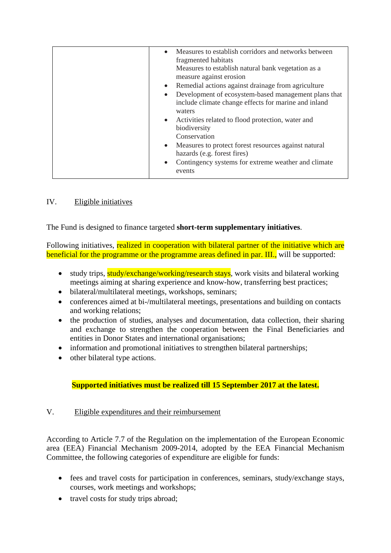| Measures to establish corridors and networks between<br>$\bullet$<br>fragmented habitats |
|------------------------------------------------------------------------------------------|
| Measures to establish natural bank vegetation as a                                       |
| measure against erosion                                                                  |
| Remedial actions against drainage from agriculture                                       |
| Development of ecosystem-based management plans that                                     |
| include climate change effects for marine and inland                                     |
| waters                                                                                   |
| • Activities related to flood protection, water and                                      |
| biodiversity                                                                             |
| Conservation                                                                             |
| • Measures to protect forest resources against natural                                   |
| hazards (e.g. forest fires)                                                              |
| Contingency systems for extreme weather and climate                                      |
| events                                                                                   |

### IV. Eligible initiatives

The Fund is designed to finance targeted **short-term supplementary initiatives**.

Following initiatives, realized in cooperation with bilateral partner of the initiative which are beneficial for the programme or the programme areas defined in par. III., will be supported:

- study trips, study/exchange/working/research stays, work visits and bilateral working meetings aiming at sharing experience and know-how, transferring best practices;
- bilateral/multilateral meetings, workshops, seminars;
- conferences aimed at bi-/multilateral meetings, presentations and building on contacts and working relations;
- the production of studies, analyses and documentation, data collection, their sharing and exchange to strengthen the cooperation between the Final Beneficiaries and entities in Donor States and international organisations;
- information and promotional initiatives to strengthen bilateral partnerships;
- other bilateral type actions.

### **Supported initiatives must be realized till 15 September 2017 at the latest.**

#### V. Eligible expenditures and their reimbursement

According to Article 7.7 of the Regulation on the implementation of the European Economic area (EEA) Financial Mechanism 2009-2014, adopted by the EEA Financial Mechanism Committee, the following categories of expenditure are eligible for funds:

- fees and travel costs for participation in conferences, seminars, study/exchange stays, courses, work meetings and workshops;
- travel costs for study trips abroad;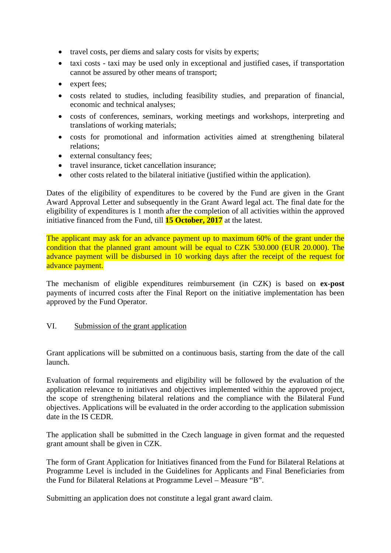- travel costs, per diems and salary costs for visits by experts;
- taxi costs taxi may be used only in exceptional and justified cases, if transportation cannot be assured by other means of transport;
- expert fees;
- costs related to studies, including feasibility studies, and preparation of financial, economic and technical analyses;
- costs of conferences, seminars, working meetings and workshops, interpreting and translations of working materials;
- costs for promotional and information activities aimed at strengthening bilateral relations;
- external consultancy fees:
- travel insurance, ticket cancellation insurance:
- other costs related to the bilateral initiative (justified within the application).

Dates of the eligibility of expenditures to be covered by the Fund are given in the Grant Award Approval Letter and subsequently in the Grant Award legal act. The final date for the eligibility of expenditures is 1 month after the completion of all activities within the approved initiative financed from the Fund, till **15 October, 2017** at the latest.

The applicant may ask for an advance payment up to maximum 60% of the grant under the condition that the planned grant amount will be equal to CZK 530.000 (EUR 20.000). The advance payment will be disbursed in 10 working days after the receipt of the request for advance payment.

The mechanism of eligible expenditures reimbursement (in CZK) is based on **ex-post** payments of incurred costs after the Final Report on the initiative implementation has been approved by the Fund Operator.

### VI. Submission of the grant application

Grant applications will be submitted on a continuous basis, starting from the date of the call launch.

Evaluation of formal requirements and eligibility will be followed by the evaluation of the application relevance to initiatives and objectives implemented within the approved project, the scope of strengthening bilateral relations and the compliance with the Bilateral Fund objectives. Applications will be evaluated in the order according to the application submission date in the IS CEDR.

The application shall be submitted in the Czech language in given format and the requested grant amount shall be given in CZK.

The form of Grant Application for Initiatives financed from the Fund for Bilateral Relations at Programme Level is included in the Guidelines for Applicants and Final Beneficiaries from the Fund for Bilateral Relations at Programme Level – Measure "B".

Submitting an application does not constitute a legal grant award claim.